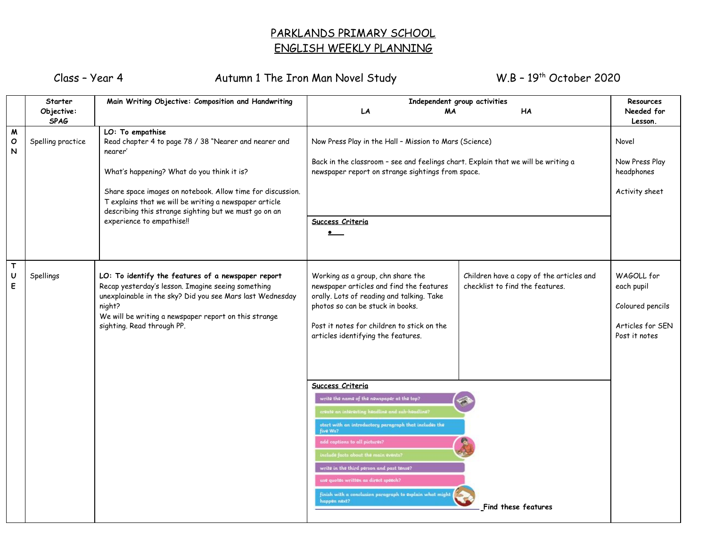## PARKLANDS PRIMARY SCHOOL ENGLISH WEEKLY PLANNING

Class – Year 4 Autumn 1 The Iron Man Novel Study

 $W.B - 19<sup>th</sup> October 2020$ 

|                        | Starter           | Main Writing Objective: Composition and Handwriting                                                                                                                                                                                                                    | Independent group activities                                                                                                                                                                                                                                                                                                                                                                                                        | Resources                                                                   |                                                                                   |
|------------------------|-------------------|------------------------------------------------------------------------------------------------------------------------------------------------------------------------------------------------------------------------------------------------------------------------|-------------------------------------------------------------------------------------------------------------------------------------------------------------------------------------------------------------------------------------------------------------------------------------------------------------------------------------------------------------------------------------------------------------------------------------|-----------------------------------------------------------------------------|-----------------------------------------------------------------------------------|
|                        | Objective:        |                                                                                                                                                                                                                                                                        | MA<br>LA                                                                                                                                                                                                                                                                                                                                                                                                                            | HA                                                                          | Needed for                                                                        |
|                        | <b>SPAG</b>       |                                                                                                                                                                                                                                                                        |                                                                                                                                                                                                                                                                                                                                                                                                                                     |                                                                             | Lesson.                                                                           |
| W<br>O<br>N            | Spelling practice | LO: To empathise<br>Read chapter 4 to page 78 / 38 "Nearer and nearer and<br>nearer'<br>What's happening? What do you think it is?                                                                                                                                     | Now Press Play in the Hall - Mission to Mars (Science)<br>Back in the classroom - see and feelings chart. Explain that we will be writing a<br>newspaper report on strange sightings from space.                                                                                                                                                                                                                                    |                                                                             | Novel<br>Now Press Play<br>headphones                                             |
|                        |                   | Share space images on notebook. Allow time for discussion.<br>T explains that we will be writing a newspaper article<br>describing this strange sighting but we must go on an<br>experience to empathise!!                                                             |                                                                                                                                                                                                                                                                                                                                                                                                                                     |                                                                             | Activity sheet                                                                    |
|                        |                   |                                                                                                                                                                                                                                                                        | Success Criteria<br>$\bullet$                                                                                                                                                                                                                                                                                                                                                                                                       |                                                                             |                                                                                   |
| $\mathsf{T}$<br>U<br>E | Spellings         | LO: To identify the features of a newspaper report<br>Recap yesterday's lesson. Imagine seeing something<br>unexplainable in the sky? Did you see Mars last Wednesday<br>night?<br>We will be writing a newspaper report on this strange<br>sighting. Read through PP. | Working as a group, chn share the<br>newspaper articles and find the features<br>orally. Lots of reading and talking. Take<br>photos so can be stuck in books.<br>Post it notes for children to stick on the<br>articles identifying the features.                                                                                                                                                                                  | Children have a copy of the articles and<br>checklist to find the features. | WAGOLL for<br>each pupil<br>Coloured pencils<br>Articles for SEN<br>Post it notes |
|                        |                   |                                                                                                                                                                                                                                                                        | Success Criteria<br>write the name of the newspaper at the top?<br>create an interesting headline and sub-headline?<br>start with an introductory paragraph that includes the<br>five Ws?<br>add captions to all pictures?<br>include facts about the main events?<br>write in the third person and past tense?<br>use quotes written as direct speech?<br>finish with a conclusion paragraph to explain what might<br>happen next? | Find these features                                                         |                                                                                   |